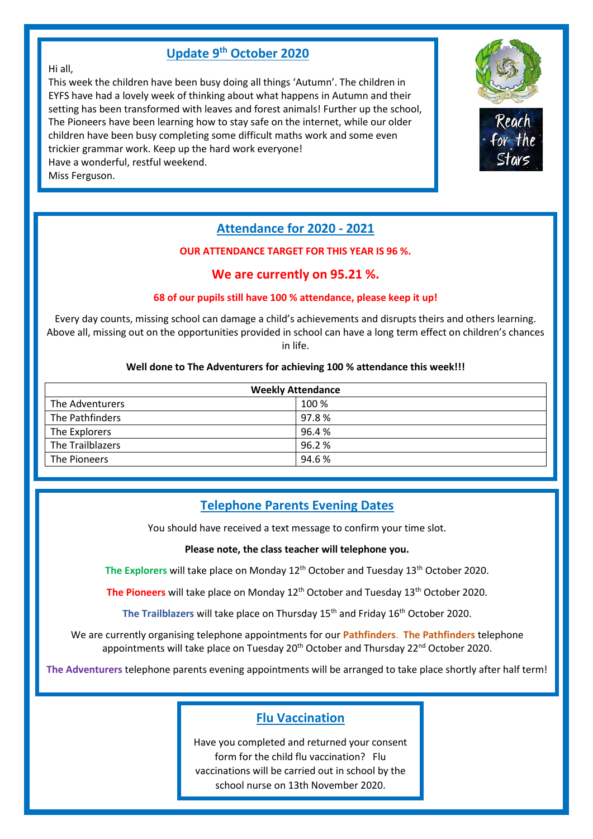## **Update 9 th October 2020**

#### Hi all,

This week the children have been busy doing all things 'Autumn'. The children in EYFS have had a lovely week of thinking about what happens in Autumn and their setting has been transformed with leaves and forest animals! Further up the school, The Pioneers have been learning how to stay safe on the internet, while our older children have been busy completing some difficult maths work and some even trickier grammar work. Keep up the hard work everyone! Have a wonderful, restful weekend.

Miss Ferguson.



### **Attendance for 2020 - 2021**

#### **OUR ATTENDANCE TARGET FOR THIS YEAR IS 96 %.**

### **We are currently on 95.21 %.**

#### **68 of our pupils still have 100 % attendance, please keep it up!**

Every day counts, missing school can damage a child's achievements and disrupts theirs and others learning. Above all, missing out on the opportunities provided in school can have a long term effect on children's chances in life.

#### **Well done to The Adventurers for achieving 100 % attendance this week!!!**

| <b>Weekly Attendance</b> |       |  |
|--------------------------|-------|--|
| The Adventurers          | 100 % |  |
| The Pathfinders          | 97.8% |  |
| The Explorers            | 96.4% |  |
| The Trailblazers         | 96.2% |  |
| The Pioneers             | 94.6% |  |

## **Telephone Parents Evening Dates**

You should have received a text message to confirm your time slot.

#### **Please note, the class teacher will telephone you.**

**The Explorers** will take place on Monday 12th October and Tuesday 13th October 2020.

The Pioneers will take place on Monday 12<sup>th</sup> October and Tuesday 13<sup>th</sup> October 2020.

The Trailblazers will take place on Thursday 15<sup>th</sup> and Friday 16<sup>th</sup> October 2020.

We are currently organising telephone appointments for our **Pathfinders**. **The Pathfinders** telephone appointments will take place on Tuesday 20<sup>th</sup> October and Thursday 22<sup>nd</sup> October 2020.

**The Adventurers** telephone parents evening appointments will be arranged to take place shortly after half term!

### **Flu Vaccination**

Have you completed and returned your consent form for the child flu vaccination? Flu vaccinations will be carried out in school by the school nurse on 13th November 2020.